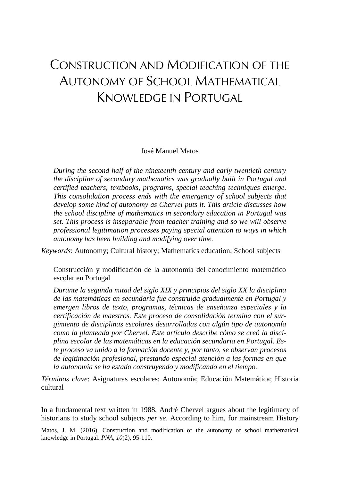# CONSTRUCTION AND MODIFICATION OF THE AUTONOMY OF SCHOOL MATHEMATICAL KNOWLEDGE IN PORTUGAL

José Manuel Matos

*During the second half of the nineteenth century and early twentieth century the discipline of secondary mathematics was gradually built in Portugal and certified teachers, textbooks, programs, special teaching techniques emerge. This consolidation process ends with the emergency of school subjects that develop some kind of autonomy as Chervel puts it. This article discusses how the school discipline of mathematics in secondary education in Portugal was set. This process is inseparable from teacher training and so we will observe professional legitimation processes paying special attention to ways in which autonomy has been building and modifying over time.*

*Keywords*: Autonomy; Cultural history; Mathematics education; School subjects

Construcción y modificación de la autonomía del conocimiento matemático escolar en Portugal

*Durante la segunda mitad del siglo XIX y principios del siglo XX la disciplina de las matemáticas en secundaria fue construida gradualmente en Portugal y emergen libros de texto, programas, técnicas de enseñanza especiales y la certificación de maestros. Este proceso de consolidación termina con el surgimiento de disciplinas escolares desarrolladas con algún tipo de autonomía como la planteada por Chervel. Este artículo describe cómo se creó la disciplina escolar de las matemáticas en la educación secundaria en Portugal. Este proceso va unido a la formación docente y, por tanto, se observan procesos de legitimación profesional, prestando especial atención a las formas en que la autonomía se ha estado construyendo y modificando en el tiempo.*

*Términos clave*: Asignaturas escolares; Autonomía; Educación Matemática; Historia cultural

In a fundamental text written in 1988, André Chervel argues about the legitimacy of historians to study school subjects *per se*. According to him, for mainstream History

Matos, J. M. (2016). Construction and modification of the autonomy of school mathematical knowledge in Portugal. *PNA, 10*(2), 95-110.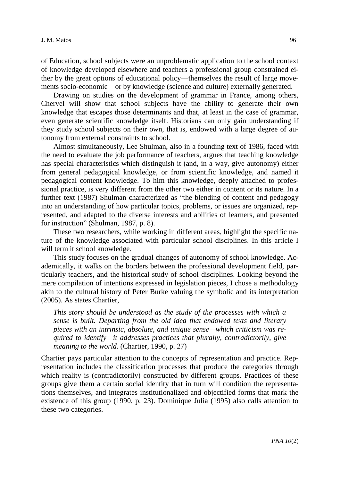of Education, school subjects were an unproblematic application to the school context of knowledge developed elsewhere and teachers a professional group constrained either by the great options of educational policy—themselves the result of large movements socio-economic—or by knowledge (science and culture) externally generated.

Drawing on studies on the development of grammar in France, among others, Chervel will show that school subjects have the ability to generate their own knowledge that escapes those determinants and that, at least in the case of grammar, even generate scientific knowledge itself. Historians can only gain understanding if they study school subjects on their own, that is, endowed with a large degree of autonomy from external constraints to school.

Almost simultaneously, Lee Shulman, also in a founding text of 1986, faced with the need to evaluate the job performance of teachers, argues that teaching knowledge has special characteristics which distinguish it (and, in a way, give autonomy) either from general pedagogical knowledge, or from scientific knowledge, and named it pedagogical content knowledge. To him this knowledge, deeply attached to professional practice, is very different from the other two either in content or its nature. In a further text (1987) Shulman characterized as "the blending of content and pedagogy into an understanding of how particular topics, problems, or issues are organized, represented, and adapted to the diverse interests and abilities of learners, and presented for instruction" (Shulman, 1987, p. 8).

These two researchers, while working in different areas, highlight the specific nature of the knowledge associated with particular school disciplines. In this article I will term it school knowledge.

This study focuses on the gradual changes of autonomy of school knowledge. Academically, it walks on the borders between the professional development field, particularly teachers, and the historical study of school disciplines. Looking beyond the mere compilation of intentions expressed in legislation pieces, I chose a methodology akin to the cultural history of Peter Burke valuing the symbolic and its interpretation (2005). As states Chartier,

*This story should be understood as the study of the processes with which a sense is built. Departing from the old idea that endowed texts and literary pieces with an intrinsic, absolute, and unique sense—which criticism was required to identify—it addresses practices that plurally, contradictorily, give meaning to the world.* (Chartier, 1990, p. 27)

Chartier pays particular attention to the concepts of representation and practice. Representation includes the classification processes that produce the categories through which reality is (contradictorily) constructed by different groups. Practices of these groups give them a certain social identity that in turn will condition the representations themselves, and integrates institutionalized and objectified forms that mark the existence of this group (1990, p. 23). Dominique Julia (1995) also calls attention to these two categories.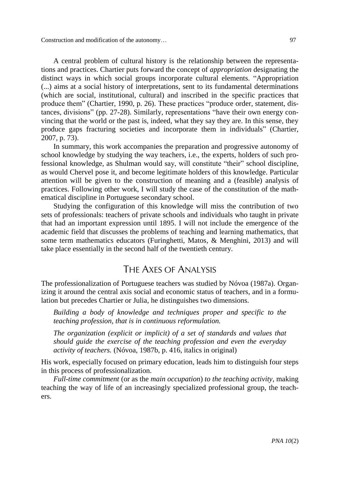Construction and modification of the autonomy… 97

A central problem of cultural history is the relationship between the representations and practices. Chartier puts forward the concept of *appropriation* designating the distinct ways in which social groups incorporate cultural elements. "Appropriation (...) aims at a social history of interpretations, sent to its fundamental determinations (which are social, institutional, cultural) and inscribed in the specific practices that produce them" (Chartier, 1990, p. 26). These practices "produce order, statement, distances, divisions" (pp. 27-28). Similarly, representations "have their own energy convincing that the world or the past is, indeed, what they say they are. In this sense, they produce gaps fracturing societies and incorporate them in individuals" (Chartier, 2007, p. 73).

In summary, this work accompanies the preparation and progressive autonomy of school knowledge by studying the way teachers, i.e., the experts, holders of such professional knowledge, as Shulman would say, will constitute "their" school discipline, as would Chervel pose it, and become legitimate holders of this knowledge. Particular attention will be given to the construction of meaning and a (feasible) analysis of practices. Following other work, I will study the case of the constitution of the mathematical discipline in Portuguese secondary school.

Studying the configuration of this knowledge will miss the contribution of two sets of professionals: teachers of private schools and individuals who taught in private that had an important expression until 1895. I will not include the emergence of the academic field that discusses the problems of teaching and learning mathematics, that some term mathematics educators (Furinghetti, Matos, & Menghini, 2013) and will take place essentially in the second half of the twentieth century.

# THE AXES OF ANALYSIS

The professionalization of Portuguese teachers was studied by Nóvoa (1987a). Organizing it around the central axis social and economic status of teachers, and in a formulation but precedes Chartier or Julia, he distinguishes two dimensions.

*Building a body of knowledge and techniques proper and specific to the teaching profession, that is in continuous reformulation.*

*The organization (explicit or implicit) of a set of standards and values that should guide the exercise of the teaching profession and even the everyday activity of teachers.* (Nóvoa, 1987b, p. 416, italics in original)

His work, especially focused on primary education, leads him to distinguish four steps in this process of professionalization.

*Full-time commitment* (or as the *main occupation*) *to the teaching activity*, making teaching the way of life of an increasingly specialized professional group, the teachers.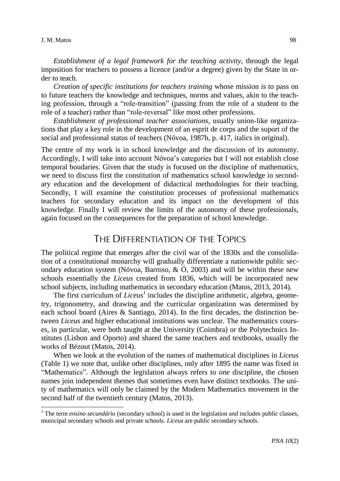#### J. M. Matos 98

 $\overline{\phantom{0}}$ 

*Establishment of a legal framework for the teaching activity*, through the legal imposition for teachers to possess a licence (and/or a degree) given by the State in order to teach.

*Creation of specific institutions for teachers training* whose mission is to pass on to future teachers the knowledge and techniques, norms and values, akin to the teaching profession, through a "role-transition" (passing from the role of a student to the role of a teacher) rather than "role-reversal" like most other professions.

*Establishment of professional teacher associations*, usually union-like organizations that play a key role in the development of an esprit de corps and the suport of the social and professional status of teachers (Nóvoa, 1987b, p. 417, italics in original).

The centre of my work is in school knowledge and the discussion of its autonomy. Accordingly, I will take into account Nóvoa's categories but I will not establish close temporal boudaries. Given that the study is focused on the discipline of mathematics, we need to discuss first the constitution of mathematics school knowledge in secondary education and the development of didactical methodologies for their teaching. Secondly, I will examine the constitution processes of professional mathematics teachers for secondary education and its impact on the development of this knowledge. Finally I will review the limits of the autonomy of these professionals, again focused on the consequences for the preparation of school knowledge.

# THE DIFFERENTIATION OF THE TOPICS

The political regime that emerges after the civil war of the 1830s and the consolidation of a constitutional monarchy will gradually differentiate a nationwide public secondary education system (Nóvoa, Barroso, & Ó, 2003) and will be within these new schools essentially the *Liceus* created from 1836, which will be incorporated new school subjects, including mathematics in secondary education (Matos, 2013, 2014).

The first curriculum of *Liceus*<sup>1</sup> includes the discipline arithmetic, algebra, geometry, trigonometry, and drawing and the curricular organization was determined by each school board (Aires & Santiago, 2014). In the first decades, the distinction between *Liceus* and higher educational institutions was unclear. The mathematics courses, in particular, were both taught at the University (Coimbra) or the Polytechnics Institutes (Lisbon and Oporto) and shared the same teachers and textbooks, usually the works of Bézout (Matos, 2014).

When we look at the evolution of the names of mathematical disciplines in *Liceus* (Table 1) we note that, unlike other disciplines, only after 1895 the name was fixed in "Mathematics". Although the legislation always refers to *one* discipline, the chosen names join independent themes that sometimes even have distinct textbooks. The unity of mathematics will only be claimed by the Modern Mathematics movement in the second half of the twentieth century (Matos, 2013).

<sup>&</sup>lt;sup>1</sup> The term *ensino secundário* (secondary school) is used in the legislation and includes public classes, municipal secondary schools and private schools. *Liceus* are public secondary schools.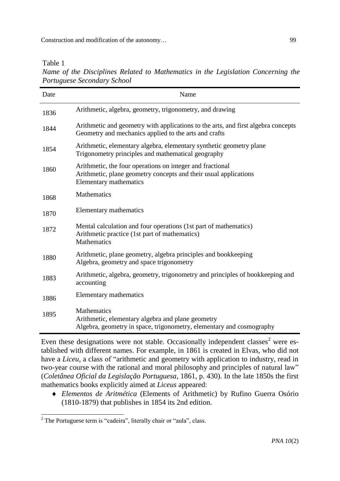Table 1

*Name of the Disciplines Related to Mathematics in the Legislation Concerning the Portuguese Secondary School*

| Date | Name                                                                                                                                                    |
|------|---------------------------------------------------------------------------------------------------------------------------------------------------------|
| 1836 | Arithmetic, algebra, geometry, trigonometry, and drawing                                                                                                |
| 1844 | Arithmetic and geometry with applications to the arts, and first algebra concepts<br>Geometry and mechanics applied to the arts and crafts              |
| 1854 | Arithmetic, elementary algebra, elementary synthetic geometry plane<br>Trigonometry principles and mathematical geography                               |
| 1860 | Arithmetic, the four operations on integer and fractional<br>Arithmetic, plane geometry concepts and their usual applications<br>Elementary mathematics |
| 1868 | Mathematics                                                                                                                                             |
| 1870 | Elementary mathematics                                                                                                                                  |
| 1872 | Mental calculation and four operations (1st part of mathematics)<br>Arithmetic practice (1st part of mathematics)<br><b>Mathematics</b>                 |
| 1880 | Arithmetic, plane geometry, algebra principles and bookkeeping<br>Algebra, geometry and space trigonometry                                              |
| 1883 | Arithmetic, algebra, geometry, trigonometry and principles of bookkeeping and<br>accounting                                                             |
| 1886 | Elementary mathematics                                                                                                                                  |
| 1895 | Mathematics<br>Arithmetic, elementary algebra and plane geometry<br>Algebra, geometry in space, trigonometry, elementary and cosmography                |

Even these designations were not stable. Occasionally independent classes<sup>2</sup> were established with different names. For example, in 1861 is created in Elvas, who did not have a *Liceu*, a class of "arithmetic and geometry with application to industry, read in two-year course with the rational and moral philosophy and principles of natural law" (*Coletânea Oficial da Legislação Portuguesa*, 1861, p. 430). In the late 1850s the first mathematics books explicitly aimed at *Liceus* appeared:

 *Elementos de Aritmética* (Elements of Arithmetic) by Rufino Guerra Osório (1810-1879) that publishes in 1854 its 2nd edition.

 $\overline{\phantom{0}}$  $2^2$  The Portuguese term is "cadeira", literally chair or "aula", class.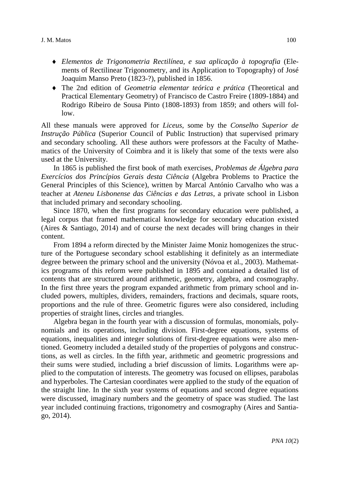- *Elementos de Trigonometria Rectilínea, e sua aplicação à topografia* (Elements of Rectilinear Trigonometry, and its Application to Topography) of José Joaquim Manso Preto (1823-?), published in 1856.
- The 2nd edition of *Geometria elementar teórica e prática* (Theoretical and Practical Elementary Geometry) of Francisco de Castro Freire (1809-1884) and Rodrigo Ribeiro de Sousa Pinto (1808-1893) from 1859; and others will follow.

All these manuals were approved for *Liceus*, some by the *Conselho Superior de Instrução Pública* (Superior Council of Public Instruction) that supervised primary and secondary schooling. All these authors were professors at the Faculty of Mathematics of the University of Coimbra and it is likely that some of the texts were also used at the University.

In 1865 is published the first book of math exercises, *Problemas de Álgebra para Exercícios dos Princípios Gerais desta Ciência* (Algebra Problems to Practice the General Principles of this Science), written by Marcal António Carvalho who was a teacher at *Ateneu Lisbonense das Ciências e das Letras*, a private school in Lisbon that included primary and secondary schooling.

Since 1870, when the first programs for secondary education were published, a legal corpus that framed mathematical knowledge for secondary education existed (Aires & Santiago, 2014) and of course the next decades will bring changes in their content.

From 1894 a reform directed by the Minister Jaime Moniz homogenizes the structure of the Portuguese secondary school establishing it definitely as an intermediate degree between the primary school and the university (Nóvoa et al., 2003). Mathematics programs of this reform were published in 1895 and contained a detailed list of contents that are structured around arithmetic, geometry, algebra, and cosmography. In the first three years the program expanded arithmetic from primary school and included powers, multiples, dividers, remainders, fractions and decimals, square roots, proportions and the rule of three. Geometric figures were also considered, including properties of straight lines, circles and triangles.

Algebra began in the fourth year with a discussion of formulas, monomials, polynomials and its operations, including division. First-degree equations, systems of equations, inequalities and integer solutions of first-degree equations were also mentioned. Geometry included a detailed study of the properties of polygons and constructions, as well as circles. In the fifth year, arithmetic and geometric progressions and their sums were studied, including a brief discussion of limits. Logarithms were applied to the computation of interests. The geometry was focused on ellipses, parabolas and hyperboles. The Cartesian coordinates were applied to the study of the equation of the straight line. In the sixth year systems of equations and second degree equations were discussed, imaginary numbers and the geometry of space was studied. The last year included continuing fractions, trigonometry and cosmography (Aires and Santiago, 2014).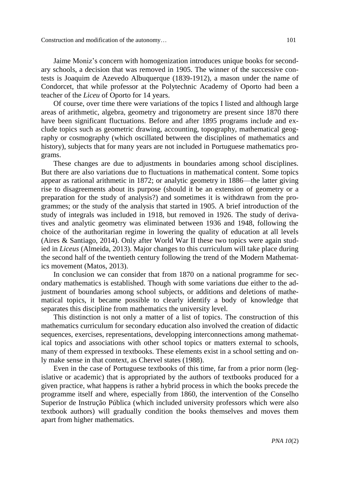Construction and modification of the autonomy… 101

Jaime Moniz's concern with homogenization introduces unique books for secondary schools, a decision that was removed in 1905. The winner of the successive contests is Joaquim de Azevedo Albuquerque (1839-1912), a mason under the name of Condorcet, that while professor at the Polytechnic Academy of Oporto had been a teacher of the *Liceu* of Oporto for 14 years.

Of course, over time there were variations of the topics I listed and although large areas of arithmetic, algebra, geometry and trigonometry are present since 1870 there have been significant fluctuations. Before and after 1895 programs include and exclude topics such as geometric drawing, accounting, topography, mathematical geography or cosmography (which oscillated between the disciplines of mathematics and history), subjects that for many years are not included in Portuguese mathematics programs.

These changes are due to adjustments in boundaries among school disciplines. But there are also variations due to fluctuations in mathematical content. Some topics appear as rational arithmetic in 1872; or analytic geometry in 1886—the latter giving rise to disagreements about its purpose (should it be an extension of geometry or a preparation for the study of analysis?) and sometimes it is withdrawn from the programmes; or the study of the analysis that started in 1905. A brief introduction of the study of integrals was included in 1918, but removed in 1926. The study of derivatives and analytic geometry was eliminated between 1936 and 1948, following the choice of the authoritarian regime in lowering the quality of education at all levels (Aires & Santiago, 2014). Only after World War II these two topics were again studied in *Liceus* (Almeida, 2013). Major changes to this curriculum will take place during the second half of the twentieth century following the trend of the Modern Mathematics movement (Matos, 2013).

In conclusion we can consider that from 1870 on a national programme for secondary mathematics is established. Though with some variations due either to the adjustment of boundaries among school subjects, or additions and deletions of mathematical topics, it became possible to clearly identify a body of knowledge that separates this discipline from mathematics the university level.

This distinction is not only a matter of a list of topics. The construction of this mathematics curriculum for secondary education also involved the creation of didactic sequences, exercises, representations, developping interconnections among mathematical topics and associations with other school topics or matters external to schools, many of them expressed in textbooks. These elements exist in a school setting and only make sense in that context, as Chervel states (1988).

Even in the case of Portuguese textbooks of this time, far from a prior norm (legislative or academic) that is appropriated by the authors of textbooks produced for a given practice, what happens is rather a hybrid process in which the books precede the programme itself and where, especially from 1860, the intervention of the Conselho Superior de Instrução Pública (which included university professors which were also textbook authors) will gradually condition the books themselves and moves them apart from higher mathematics.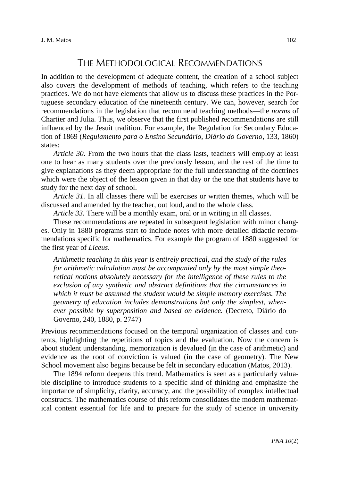### THE METHODOLOGICAL RECOMMENDATIONS

In addition to the development of adequate content, the creation of a school subject also covers the development of methods of teaching, which refers to the teaching practices. We do not have elements that allow us to discuss these practices in the Portuguese secondary education of the nineteenth century. We can, however, search for recommendations in the legislation that recommend teaching methods—the *norms* of Chartier and Julia. Thus, we observe that the first published recommendations are still influenced by the Jesuit tradition. For example, the Regulation for Secondary Education of 1869 (*Regulamento para o Ensino Secundário, Diário do Governo*, 133, 1860) states:

*Article 30*. From the two hours that the class lasts, teachers will employ at least one to hear as many students over the previously lesson, and the rest of the time to give explanations as they deem appropriate for the full understanding of the doctrines which were the object of the lesson given in that day or the one that students have to study for the next day of school.

*Article 31.* In all classes there will be exercises or written themes, which will be discussed and amended by the teacher, out loud, and to the whole class.

*Article 33.* There will be a monthly exam, oral or in writing in all classes.

These recommendations are repeated in subsequent legislation with minor changes. Only in 1880 programs start to include notes with more detailed didactic recommendations specific for mathematics. For example the program of 1880 suggested for the first year of *Liceus*.

*Arithmetic teaching in this year is entirely practical, and the study of the rules for arithmetic calculation must be accompanied only by the most simple theoretical notions absolutely necessary for the intelligence of these rules to the exclusion of any synthetic and abstract definitions that the circumstances in which it must be assumed the student would be simple memory exercises. The geometry of education includes demonstrations but only the simplest, whenever possible by superposition and based on evidence.* (Decreto, Diário do Governo, 240, 1880, p. 2747)

Previous recommendations focused on the temporal organization of classes and contents, highlighting the repetitions of topics and the evaluation. Now the concern is about student understanding, memorization is devalued (in the case of arithmetic) and evidence as the root of conviction is valued (in the case of geometry). The New School movement also begins because be felt in secondary education (Matos, 2013).

The 1894 reform deepens this trend. Mathematics is seen as a particularly valuable discipline to introduce students to a specific kind of thinking and emphasize the importance of simplicity, clarity, accuracy, and the possibility of complex intellectual constructs. The mathematics course of this reform consolidates the modern mathematical content essential for life and to prepare for the study of science in university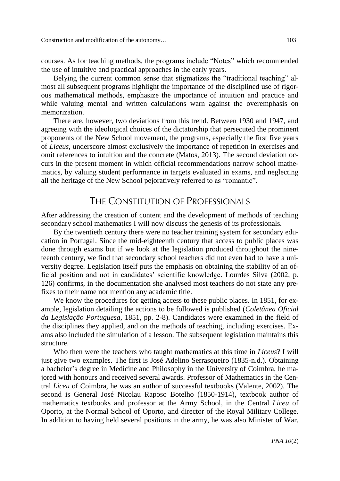courses. As for teaching methods, the programs include "Notes" which recommended the use of intuitive and practical approaches in the early years.

Belying the current common sense that stigmatizes the "traditional teaching" almost all subsequent programs highlight the importance of the disciplined use of rigorous mathematical methods, emphasize the importance of intuition and practice and while valuing mental and written calculations warn against the overemphasis on memorization.

There are, however, two deviations from this trend. Between 1930 and 1947, and agreeing with the ideological choices of the dictatorship that persecuted the prominent proponents of the New School movement, the programs, especially the first five years of *Liceus*, underscore almost exclusively the importance of repetition in exercises and omit references to intuition and the concrete (Matos, 2013). The second deviation occurs in the present moment in which official recommendations narrow school mathematics, by valuing student performance in targets evaluated in exams, and neglecting all the heritage of the New School pejoratively referred to as "romantic".

# THE CONSTITUTION OF PROFESSIONALS

After addressing the creation of content and the development of methods of teaching secondary school mathematics I will now discuss the genesis of its professionals.

By the twentieth century there were no teacher training system for secondary education in Portugal. Since the mid-eighteenth century that access to public places was done through exams but if we look at the legislation produced throughout the nineteenth century, we find that secondary school teachers did not even had to have a university degree. Legislation itself puts the emphasis on obtaining the stability of an official position and not in candidates' scientific knowledge. Lourdes Silva (2002, p. 126) confirms, in the documentation she analysed most teachers do not state any prefixes to their name nor mention any academic title.

We know the procedures for getting access to these public places. In 1851, for example, legislation detailing the actions to be followed is published (*Coletânea Oficial da Legislação Portuguesa*, 1851, pp. 2-8). Candidates were examined in the field of the disciplines they applied, and on the methods of teaching, including exercises. Exams also included the simulation of a lesson. The subsequent legislation maintains this structure.

Who then were the teachers who taught mathematics at this time in *Liceus*? I will just give two examples. The first is José Adelino Serrasqueiro (1835-n.d.). Obtaining a bachelor's degree in Medicine and Philosophy in the University of Coimbra, he majored with honours and received several awards. Professor of Mathematics in the Central *Liceu* of Coimbra, he was an author of successful textbooks (Valente, 2002). The second is General José Nicolau Raposo Botelho (1850-1914), textbook author of mathematics textbooks and professor at the Army School, in the Central *Liceu* of Oporto, at the Normal School of Oporto, and director of the Royal Military College. In addition to having held several positions in the army, he was also Minister of War.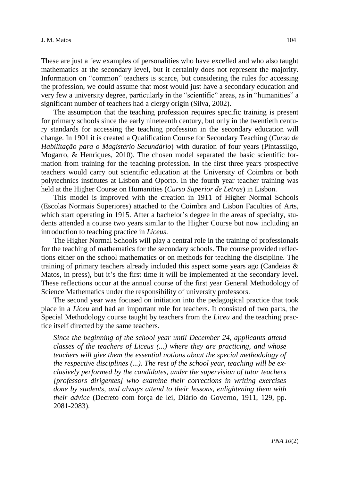These are just a few examples of personalities who have excelled and who also taught mathematics at the secondary level, but it certainly does not represent the majority. Information on "common" teachers is scarce, but considering the rules for accessing the profession, we could assume that most would just have a secondary education and very few a university degree, particularly in the "scientific" areas, as in "humanities" a significant number of teachers had a clergy origin (Silva, 2002).

The assumption that the teaching profession requires specific training is present for primary schools since the early nineteenth century, but only in the twentieth century standards for accessing the teaching profession in the secondary education will change. In 1901 it is created a Qualification Course for Secondary Teaching (*Curso de Habilitação para o Magistério Secundário*) with duration of four years (Pintassilgo, Mogarro, & Henriques, 2010). The chosen model separated the basic scientific formation from training for the teaching profession. In the first three years prospective teachers would carry out scientific education at the University of Coimbra or both polytechnics institutes at Lisbon and Oporto. In the fourth year teacher training was held at the Higher Course on Humanities (*Curso Superior de Letras*) in Lisbon.

This model is improved with the creation in 1911 of Higher Normal Schools (Escolas Normais Superiores) attached to the Coimbra and Lisbon Faculties of Arts, which start operating in 1915. After a bachelor's degree in the areas of specialty, students attended a course two years similar to the Higher Course but now including an introduction to teaching practice in *Liceus*.

The Higher Normal Schools will play a central role in the training of professionals for the teaching of mathematics for the secondary schools. The course provided reflections either on the school mathematics or on methods for teaching the discipline. The training of primary teachers already included this aspect some years ago (Candeias & Matos, in press), but it's the first time it will be implemented at the secondary level. These reflections occur at the annual course of the first year General Methodology of Science Mathematics under the responsibility of university professors.

The second year was focused on initiation into the pedagogical practice that took place in a *Liceu* and had an important role for teachers. It consisted of two parts, the Special Methodology course taught by teachers from the *Liceu* and the teaching practice itself directed by the same teachers.

*Since the beginning of the school year until December 24, applicants attend classes of the teachers of Liceus (...) where they are practicing, and whose teachers will give them the essential notions about the special methodology of the respective disciplines (...). The rest of the school year, teaching will be exclusively performed by the candidates, under the supervision of tutor teachers [professors dirigentes] who examine their corrections in writing exercises done by students, and always attend to their lessons, enlightening them with their advice* (Decreto com força de lei, Diário do Governo, 1911, 129, pp. 2081-2083).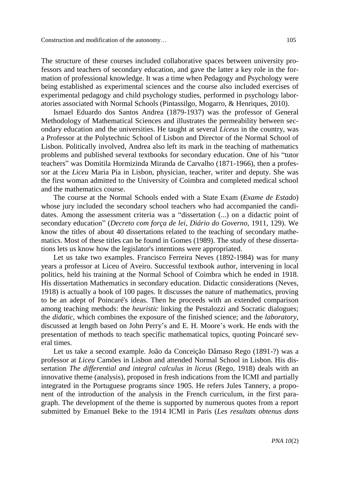The structure of these courses included collaborative spaces between university professors and teachers of secondary education, and gave the latter a key role in the formation of professional knowledge. It was a time when Pedagogy and Psychology were being established as experimental sciences and the course also included exercises of experimental pedagogy and child psychology studies, performed in psychology laboratories associated with Normal Schools (Pintassilgo, Mogarro, & Henriques, 2010).

Ismael Eduardo dos Santos Andrea (1879-1937) was the professor of General Methodology of Mathematical Sciences and illustrates the permeability between secondary education and the universities. He taught at several *Liceus* in the country, was a Professor at the Polytechnic School of Lisbon and Director of the Normal School of Lisbon. Politically involved, Andrea also left its mark in the teaching of mathematics problems and published several textbooks for secondary education. One of his "tutor teachers" was Domitila Hormizinda Miranda de Carvalho (1871-1966), then a professor at the *Liceu* Maria Pia in Lisbon, physician, teacher, writer and deputy. She was the first woman admitted to the University of Coimbra and completed medical school and the mathematics course.

The course at the Normal Schools ended with a State Exam (*Exame de Estado*) whose jury included the secondary school teachers who had accompanied the candidates. Among the assessment criteria was a "dissertation (...) on a didactic point of secondary education" (*Decreto com força de lei*, *Diário do Governo*, 1911, 129). We know the titles of about 40 dissertations related to the teaching of secondary mathematics. Most of these titles can be found in Gomes (1989). The study of these dissertations lets us know how the legislator's intentions were appropriated.

Let us take two examples. Francisco Ferreira Neves (1892-1984) was for many years a professor at Liceu of Aveiro. Successful textbook author, intervening in local politics, held his training at the Normal School of Coimbra which he ended in 1918. His dissertation Mathematics in secondary education. Didactic considerations (Neves, 1918) is actually a book of 100 pages. It discusses the nature of mathematics, proving to be an adept of Poincaré's ideas. Then he proceeds with an extended comparison among teaching methods: the *heuristic* linking the Pestalozzi and Socratic dialogues; the *didatic*, which combines the exposure of the finished science; and the *laboratory*, discussed at length based on John Perry's and E. H. Moore's work. He ends with the presentation of methods to teach specific mathematical topics, quoting Poincaré several times.

Let us take a second example. João da Conceição Dâmaso Rego (1891-?) was a professor at *Liceu* Camões in Lisbon and attended Normal School in Lisbon. His dissertation *The differential and integral calculus in liceus* (Rego, 1918) deals with an innovative theme (analysis), proposed in fresh indications from the ICMI and partially integrated in the Portuguese programs since 1905. He refers Jules Tannery, a proponent of the introduction of the analysis in the French curriculum, in the first paragraph. The development of the theme is supported by numerous quotes from a report submitted by Emanuel Beke to the 1914 ICMI in Paris (*Les resultats obtenus dans*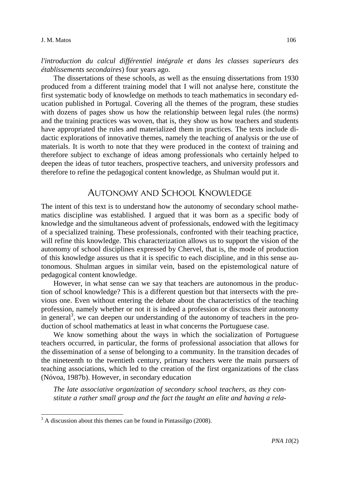*l'introduction du calcul différentiel intégrale et dans les classes superieurs des établissements secondaires*) four years ago.

The dissertations of these schools, as well as the ensuing dissertations from 1930 produced from a different training model that I will not analyse here, constitute the first systematic body of knowledge on methods to teach mathematics in secondary education published in Portugal. Covering all the themes of the program, these studies with dozens of pages show us how the relationship between legal rules (the norms) and the training practices was woven, that is, they show us how teachers and students have appropriated the rules and materialized them in practices. The texts include didactic explorations of innovative themes, namely the teaching of analysis or the use of materials. It is worth to note that they were produced in the context of training and therefore subject to exchange of ideas among professionals who certainly helped to deepen the ideas of tutor teachers, prospective teachers, and university professors and therefore to refine the pedagogical content knowledge, as Shulman would put it.

# AUTONOMY AND SCHOOL KNOWLEDGE

The intent of this text is to understand how the autonomy of secondary school mathematics discipline was established. I argued that it was born as a specific body of knowledge and the simultaneous advent of professionals, endowed with the legitimacy of a specialized training. These professionals, confronted with their teaching practice, will refine this knowledge. This characterization allows us to support the vision of the autonomy of school disciplines expressed by Chervel, that is, the mode of production of this knowledge assures us that it is specific to each discipline, and in this sense autonomous. Shulman argues in similar vein, based on the epistemological nature of pedagogical content knowledge.

However, in what sense can we say that teachers are autonomous in the production of school knowledge? This is a different question but that intersects with the previous one. Even without entering the debate about the characteristics of the teaching profession, namely whether or not it is indeed a profession or discuss their autonomy in general<sup>3</sup>, we can deepen our understanding of the autonomy of teachers in the production of school mathematics at least in what concerns the Portuguese case.

We know something about the ways in which the socialization of Portuguese teachers occurred, in particular, the forms of professional association that allows for the dissemination of a sense of belonging to a community. In the transition decades of the nineteenth to the twentieth century, primary teachers were the main pursuers of teaching associations, which led to the creation of the first organizations of the class (Nóvoa, 1987b). However, in secondary education

*The late associative organization of secondary school teachers, as they constitute a rather small group and the fact the taught an elite and having a rela-*

 $\overline{\phantom{0}}$ 

<sup>&</sup>lt;sup>3</sup> A discussion about this themes can be found in Pintassilgo (2008).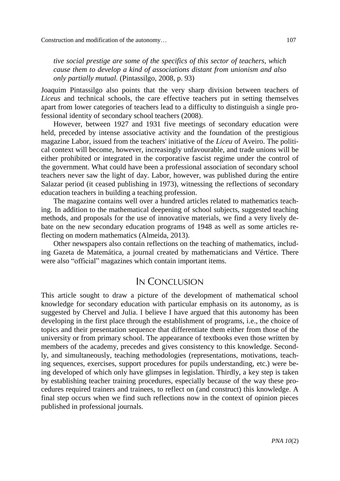*tive social prestige are some of the specifics of this sector of teachers, which cause them to develop a kind of associations distant from unionism and also only partially mutual.* (Pintassilgo, 2008, p. 93)

Joaquim Pintassilgo also points that the very sharp division between teachers of *Liceus* and technical schools, the care effective teachers put in setting themselves apart from lower categories of teachers lead to a difficulty to distinguish a single professional identity of secondary school teachers (2008).

However, between 1927 and 1931 five meetings of secondary education were held, preceded by intense associative activity and the foundation of the prestigious magazine Labor, issued from the teachers' initiative of the *Liceu* of Aveiro. The political context will become, however, increasingly unfavourable, and trade unions will be either prohibited or integrated in the corporative fascist regime under the control of the government. What could have been a professional association of secondary school teachers never saw the light of day. Labor, however, was published during the entire Salazar period (it ceased publishing in 1973), witnessing the reflections of secondary education teachers in building a teaching profession.

The magazine contains well over a hundred articles related to mathematics teaching. In addition to the mathematical deepening of school subjects, suggested teaching methods, and proposals for the use of innovative materials, we find a very lively debate on the new secondary education programs of 1948 as well as some articles reflecting on modern mathematics (Almeida, 2013).

Other newspapers also contain reflections on the teaching of mathematics, including Gazeta de Matemática, a journal created by mathematicians and Vértice. There were also "official" magazines which contain important items.

#### IN CONCLUSION

This article sought to draw a picture of the development of mathematical school knowledge for secondary education with particular emphasis on its autonomy, as is suggested by Chervel and Julia. I believe I have argued that this autonomy has been developing in the first place through the establishment of programs, i.e., the choice of topics and their presentation sequence that differentiate them either from those of the university or from primary school. The appearance of textbooks even those written by members of the academy, precedes and gives consistency to this knowledge. Secondly, and simultaneously, teaching methodologies (representations, motivations, teaching sequences, exercises, support procedures for pupils understanding, etc.) were being developed of which only have glimpses in legislation. Thirdly, a key step is taken by establishing teacher training procedures, especially because of the way these procedures required trainers and trainees, to reflect on (and construct) this knowledge. A final step occurs when we find such reflections now in the context of opinion pieces published in professional journals.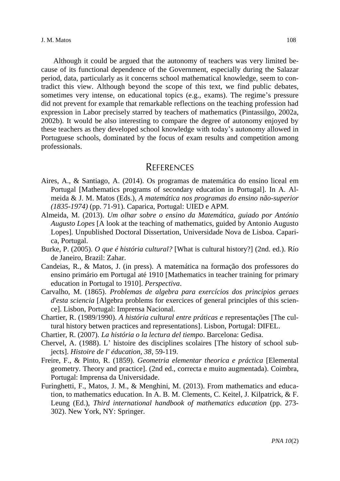Although it could be argued that the autonomy of teachers was very limited because of its functional dependence of the Government, especially during the Salazar period, data, particularly as it concerns school mathematical knowledge, seem to contradict this view. Although beyond the scope of this text, we find public debates, sometimes very intense, on educational topics (e.g., exams). The regime's pressure did not prevent for example that remarkable reflections on the teaching profession had expression in Labor precisely starred by teachers of mathematics (Pintassilgo, 2002a, 2002b). It would be also interesting to compare the degree of autonomy enjoyed by these teachers as they developed school knowledge with today's autonomy allowed in Portuguese schools, dominated by the focus of exam results and competition among professionals.

#### **REFERENCES**

- Aires, A., & Santiago, A. (2014). Os programas de matemática do ensino liceal em Portugal [Mathematics programs of secondary education in Portugal]. In A. Almeida & J. M. Matos (Eds.), *A matemática nos programas do ensino não-superior (1835-1974)* (pp. 71-91). Caparica, Portugal: UIED e APM.
- Almeida, M. (2013). *Um olhar sobre o ensino da Matemática, guiado por António Augusto Lopes* [A look at the teaching of mathematics, guided by Antonio Augusto Lopes]*.* Unpublished Doctoral Dissertation, Universidade Nova de Lisboa. Caparica, Portugal.
- Burke, P. (2005). *O que é história cultural?* [What is cultural history?] (2nd. ed.). Río de Janeiro, Brazil: Zahar.
- Candeias, R., & Matos, J. (in press). A matemática na formação dos professores do ensino primário em Portugal até 1910 [Mathematics in teacher training for primary education in Portugal to 1910]. *Perspectiva*.
- Carvalho, M. (1865). *Problemas de algebra para exercícios dos principios geraes d'esta sciencia* [Algebra problems for exercices of general principles of this science]. Lisbon, Portugal: Imprensa Nacional.
- Chartier, R. (1989/1990). *A história cultural entre práticas e* representações [The cultural history betwen practices and representations]. Lisbon, Portugal: DIFEL.
- Chartier, R. (2007). *La história o la lectura del tiempo*. Barcelona: Gedisa.
- Chervel, A. (1988). L' histoire des disciplines scolaires [The history of school subjects]. *Histoire de l' éducation, 38*, 59-119.
- Freire, F., & Pinto, R. (1859). *Geometria elementar theorica e práctica* [Elemental geometry. Theory and practice]. (2nd ed., correcta e muito augmentada). Coimbra, Portugal: Imprensa da Universidade.
- Furinghetti, F., Matos, J. M., & Menghini, M. (2013). From mathematics and education, to mathematics education. In A. B. M. Clements, C. Keitel, J. Kilpatrick, & F. Leung (Ed.), *Third international handbook of mathematics education* (pp. 273- 302). New York, NY: Springer.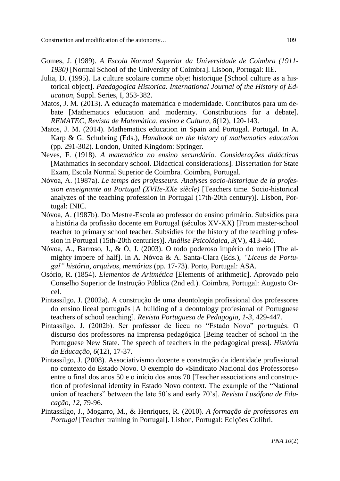Construction and modification of the autonomy… 109

- Gomes, J. (1989). *A Escola Normal Superior da Universidade de Coimbra (1911- 1930)* [Normal School of the University of Coimbra]. Lisbon, Portugal: IIE.
- Julia, D. (1995). La culture scolaire comme objet historique [School culture as a historical object]. *Paedagogica Historica. International Journal of the History of Education*, Suppl. Series, I, 353-382.
- Matos, J. M. (2013). A educação matemática e modernidade. Contributos para um debate [Mathematics education and modernity. Constributions for a debate]. *REMATEC, Revista de Matemática, ensino e Cultura, 8*(12), 120-143.
- Matos, J. M. (2014). Mathematics education in Spain and Portugal. Portugal. In A. Karp & G. Schubring (Eds.), *Handbook on the history of mathematics education* (pp. 291-302). London, United Kingdom: Springer.
- Neves, F. (1918). *A matemática no ensino secundário. Considerações didácticas* [Mathmatics in secondary school. Didactical considerations]*.* Dissertation for State Exam, Escola Normal Superior de Coimbra. Coimbra, Portugal.
- Nóvoa, A. (1987a). *Le temps des professeurs. Analyses socio-historique de la profession enseignante au Portugal (XVIIe-XXe siècle)* [Teachers time. Socio-historical analyzes of the teaching profession in Portugal (17th-20th century)]. Lisbon, Portugal: INIC.
- Nóvoa, A. (1987b). Do Mestre-Escola ao professor do ensino primário. Subsídios para a história da profissão docente em Portugal (séculos XV-XX) [From master-school teacher to primary school teacher. Subsidies for the history of the teaching profession in Portugal (15th-20th centuries)]. *Análise Psicológica, 3*(V), 413-440.
- Nóvoa, A., Barroso, J., & Ó, J. (2003). O todo poderoso império do meio [The almighty impere of half]. In A. Nóvoa & A. Santa-Clara (Eds.), *"Liceus de Portugal" história, arquivos, memórias* (pp. 17-73). Porto, Portugal: ASA.
- Osório, R. (1854). *Elementos de Aritmética* [Elements of arithmetic]. Aprovado pelo Conselho Superior de Instrução Pública (2nd ed.). Coimbra, Portugal: Augusto Orcel.
- Pintassilgo, J. (2002a). A construção de uma deontologia profissional dos professores do ensino liceal português [A building of a deontology profesional of Portuguese teachers of school teaching]. *Revista Portuguesa de Pedagogia, 1-3*, 429-447.
- Pintassilgo, J. (2002b). Ser professor de liceu no "Estado Novo" português. O discurso dos professores na imprensa pedagógica [Being teacher of school in the Portuguese New State. The speech of teachers in the pedagogical press]. *História da Educação, 6*(12), 17-37.
- Pintassilgo, J. (2008). Associativismo docente e construção da identidade profissional no contexto do Estado Novo. O exemplo do «Sindicato Nacional dos Professores» entre o final dos anos 50 e o início dos anos 70 [Teacher associations and construction of profesional identity in Estado Novo context. The example of the "National union of teachers" between the late 50's and early 70's]. *Revista Lusófona de Educação, 12*, 79-96.
- Pintassilgo, J., Mogarro, M., & Henriques, R. (2010). *A formação de professores em Portugal* [Teacher training in Portugal]. Lisbon, Portugal: Edições Colibri.